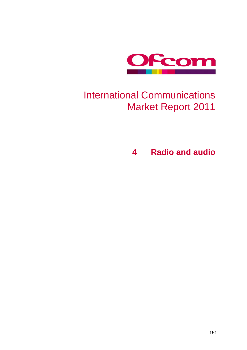

## International Communications Market Report 2011

**4 Radio and audio**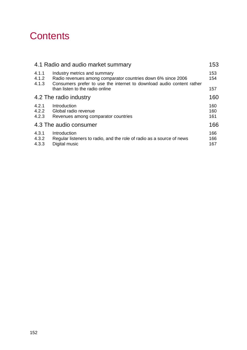## **Contents**

|                         | 4.1 Radio and audio market summary                                                                                                                                    | 153               |  |  |  |
|-------------------------|-----------------------------------------------------------------------------------------------------------------------------------------------------------------------|-------------------|--|--|--|
| 4.1.1<br>4.1.2<br>4.1.3 | Industry metrics and summary<br>Radio revenues among comparator countries down 6% since 2006<br>Consumers prefer to use the internet to download audio content rather | 153<br>154        |  |  |  |
|                         | than listen to the radio online                                                                                                                                       | 157               |  |  |  |
| 4.2 The radio industry  |                                                                                                                                                                       |                   |  |  |  |
| 4.2.1<br>4.2.2<br>4.2.3 | Introduction<br>Global radio revenue<br>Revenues among comparator countries                                                                                           | 160<br>160<br>161 |  |  |  |
| 4.3 The audio consumer  |                                                                                                                                                                       |                   |  |  |  |
| 4.3.1<br>4.3.2<br>4.3.3 | Introduction<br>Regular listeners to radio, and the role of radio as a source of news<br>Digital music                                                                | 166<br>166<br>167 |  |  |  |
|                         |                                                                                                                                                                       |                   |  |  |  |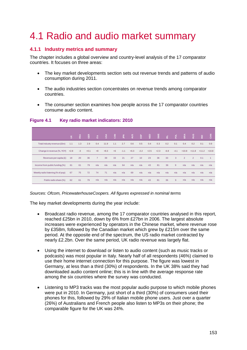## <span id="page-2-0"></span>4.1 Radio and audio market summary

## <span id="page-2-1"></span>**4.1.1 Industry metrics and summary**

The chapter includes a global overview and country-level analysis of the 17 comparator countries. It focuses on three areas:

- The key market developments section sets out revenue trends and patterns of audio consumption during 2011.
- The audio industries section concentrates on revenue trends among comparator countries.
- The consumer section examines how people across the 17 comparator countries consume audio content.

|                                                                                                                                                                                                                                                                                                                                                                                                                                                                                                                                                                                                                                                                                                                                                                                                                                                                                                                                                                                                                                                                                                                                                                                                                                                                                                                                                                                                              | š      | 흢    | GER    | É              | USA    | <b>MAG</b> | 죜      | SIN    | <u>၉</u> | 요<br>뿐 | SWE    | 군      | 힕      | BRA            | Sma            | $\frac{1}{2}$ | $rac{z}{5}$    |
|--------------------------------------------------------------------------------------------------------------------------------------------------------------------------------------------------------------------------------------------------------------------------------------------------------------------------------------------------------------------------------------------------------------------------------------------------------------------------------------------------------------------------------------------------------------------------------------------------------------------------------------------------------------------------------------------------------------------------------------------------------------------------------------------------------------------------------------------------------------------------------------------------------------------------------------------------------------------------------------------------------------------------------------------------------------------------------------------------------------------------------------------------------------------------------------------------------------------------------------------------------------------------------------------------------------------------------------------------------------------------------------------------------------|--------|------|--------|----------------|--------|------------|--------|--------|----------|--------|--------|--------|--------|----------------|----------------|---------------|----------------|
| Total industry revenue (£bn)                                                                                                                                                                                                                                                                                                                                                                                                                                                                                                                                                                                                                                                                                                                                                                                                                                                                                                                                                                                                                                                                                                                                                                                                                                                                                                                                                                                 | 1.1    | 1.3  | 2.9    | 0.4            | 11.9   | 1.1        | 2.7    | 0.6    | 0.5      | 0.4    | 0.3    | 0.2    | 0.1    | 0.4            | 0.2            | 0.1           | 0.9            |
| Change in revenue (%, YOY)                                                                                                                                                                                                                                                                                                                                                                                                                                                                                                                                                                                                                                                                                                                                                                                                                                                                                                                                                                                                                                                                                                                                                                                                                                                                                                                                                                                   | $+2.8$ | $-3$ | $+0.1$ | $+8$           | $+8.3$ | $+6$       | $-1.1$ | $+6.3$ | $-2.2$   | $+2.5$ | $+2.3$ | $-6.8$ | $-4.1$ | $+10.8$        | $+11.8$        | $+11.2$       | $+10.8$        |
| Revenues per capita (£)                                                                                                                                                                                                                                                                                                                                                                                                                                                                                                                                                                                                                                                                                                                                                                                                                                                                                                                                                                                                                                                                                                                                                                                                                                                                                                                                                                                      | 18     | 20   | 36     | $\overline{7}$ | 39     | 33         | 21     | 27     | 10       | 23     | 36     | 33     | 3      | $\overline{2}$ | $\overline{2}$ | 0.1           | $\overline{1}$ |
| Income from public funding (%)                                                                                                                                                                                                                                                                                                                                                                                                                                                                                                                                                                                                                                                                                                                                                                                                                                                                                                                                                                                                                                                                                                                                                                                                                                                                                                                                                                               | 61     | 61   | 79     | n/a            | n/a    | n/a        | 64     | n/a    | n/a      | 43     | 81     | 36     | 9      | n/a            | n/a            | n/a           | n/a            |
| Weekly radio listening (% of pop)                                                                                                                                                                                                                                                                                                                                                                                                                                                                                                                                                                                                                                                                                                                                                                                                                                                                                                                                                                                                                                                                                                                                                                                                                                                                                                                                                                            | 67     | 75   | 72     | 74             | 71     | n/a        | n/a    | 69     | n/a      | n/a    | n/a    | n/a    | n/a    | n/a            | n/a            | n/a           | n/a            |
| Public radio share (%)                                                                                                                                                                                                                                                                                                                                                                                                                                                                                                                                                                                                                                                                                                                                                                                                                                                                                                                                                                                                                                                                                                                                                                                                                                                                                                                                                                                       | 62     | 61   | 79     | n/a            | n/a    | n/a        | n/a    | n/a    | n/a      | 43     | 81     | 36     | 9      | n/a            | n/a            | n/a           | n/a            |
| The key market developments during the year include:<br>Broadcast radio revenue, among the 17 comparator countries analysed in this report<br>reached £25bn in 2010, down by 6% from £27bn in 2006. The largest absolute<br>increases were experienced by operators in the Chinese market, where revenue rose<br>by £358m, followed by the Canadian market which grew by £215m over the same<br>period. At the opposite end of the spectrum, the US radio market contracted by<br>nearly £2.2bn. Over the same period, UK radio revenue was largely flat.<br>Using the internet to download or listen to audio content (such as music tracks or<br>podcasts) was most popular in Italy. Nearly half of all respondents (46%) claimed to<br>use their home internet connection for this purpose. The figure was lowest in<br>Germany, at less than a third (30%) of respondents. In the UK 38% said they had<br>downloaded audio content online; this is in line with the average response rate<br>among the six countries where the survey was conducted.<br>Listening to MP3 tracks was the most popular audio purpose to which mobile phones<br>were put in 2010. In Germany, just short of a third (30%) of consumers used their<br>phones for this, followed by 29% of Italian mobile phone users. Just over a quarter<br>(26%) of Australians and French people also listen to MP3s on their phone; the |        |      |        |                |        |            |        |        |          |        |        |        |        |                |                |               |                |

## **Figure 4.1 Key radio market indicators: 2010**

#### *Sources: Ofcom, PricewaterhouseCoopers. All figures expressed in nominal terms*

- Broadcast radio revenue, among the 17 comparator countries analysed in this report, reached £25bn in 2010, down by 6% from £27bn in 2006. The largest absolute increases were experienced by operators in the Chinese market, where revenue rose by £358m, followed by the Canadian market which grew by £215m over the same period. At the opposite end of the spectrum, the US radio market contracted by nearly £2.2bn. Over the same period, UK radio revenue was largely flat.
- Using the internet to download or listen to audio content (such as music tracks or podcasts) was most popular in Italy. Nearly half of all respondents (46%) claimed to use their home internet connection for this purpose. The figure was lowest in Germany, at less than a third (30%) of respondents. In the UK 38% said they had downloaded audio content online; this is in line with the average response rate among the six countries where the survey was conducted.
- Listening to MP3 tracks was the most popular audio purpose to which mobile phones were put in 2010. In Germany, just short of a third (30%) of consumers used their phones for this, followed by 29% of Italian mobile phone users. Just over a quarter (26%) of Australians and French people also listen to MP3s on their phone; the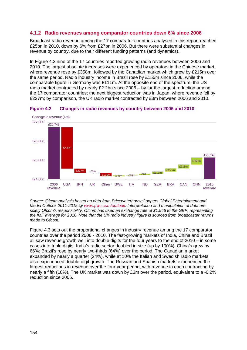## <span id="page-3-0"></span>**4.1.2 Radio revenues among comparator countries down 6% since 2006**

Broadcast radio revenue among the 17 comparator countries analysed in this report reached £25bn in 2010, down by 6% from £27bn in 2006. But there were substantial changes in revenue by country, due to their different funding patterns (and dynamics).

In [Figure 4.2](#page-3-1) nine of the 17 countries reported growing radio revenues between 2006 and 2010. The largest absolute increases were experienced by operators in the Chinese market, where revenue rose by £358m, followed by the Canadian market which grew by £215m over the same period. Radio industry income in Brazil rose by £155m since 2006, while the comparable figure in Germany was £111m. At the opposite end of the spectrum, the US radio market contracted by nearly £2.2bn since 2006 – by far the largest reduction among the 17 comparator countries; the next biggest reduction was in Japan, where revenue fell by £227m; by comparison, the UK radio market contracted by £3m between 2006 and 2010.



#### <span id="page-3-1"></span>**Figure 4.2 Changes in radio revenues by country between 2006 and 2010**

*Source: Ofcom analysis based on data from PricewaterhouseCoopers Global Entertainment and Media Outlook 2011-2015 @ [www.pwc.com/outlook.](http://www.pwc.com/outlook) Interpretation and manipulation of data are solely Ofcom's responsibility. Ofcom has used an exchange rate of \$1.546 to the GBP, representing the IMF average for 2010. Note that the UK radio industry figure is sourced from broadcaster returns made to Ofcom.*

[Figure 4.3](#page-4-0) sets out the proportional changes in industry revenue among the 17 comparator countries over the period 2006 - 2010. The fast-growing markets of India, China and Brazil all saw revenue growth well into double digits for the four years to the end of 2010 – in some cases into triple digits. India's radio sector doubled in size (up by 100%), China's grew by 66%; Brazil's rose by nearly two-thirds (64%) over the period. The Canadian market expanded by nearly a quarter (24%), while at 10% the Italian and Swedish radio markets also experienced double-digit growth. The Russian and Spanish markets experienced the largest reductions in revenue over the four-year period, with revenue in each contracting by nearly a fifth (18%). The UK market was down by £3m over the period, equivalent to a -0.2% reduction since 2006.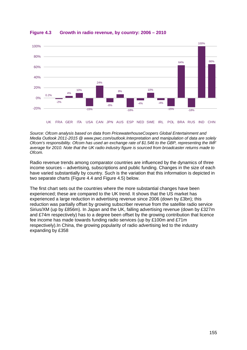

## <span id="page-4-0"></span>**Figure 4.3 Growth in radio revenue, by country: 2006 – 2010**

*Source: Ofcom analysis based on data from PricewaterhouseCoopers Global Entertainment and Media Outlook 2011-2015 @ www.pwc.com/outlook.Interpretation and manipulation of data are solely Ofcom's responsibility. Ofcom has used an exchange rate of \$1.546 to the GBP, representing the IMF average for 2010. Note that the UK radio industry figure is sourced from broadcaster returns made to Ofcom.*

Radio revenue trends among comparator countries are influenced by the dynamics of three income sources – advertising, subscriptions and public funding. Changes in the size of each have varied substantially by country. Such is the variation that this information is depicted in two separate charts [\(Figure 4.4](#page-5-0) and [Figure 4.5\)](#page-6-1) below.

The first chart sets out the countries where the more substantial changes have been experienced; these are compared to the UK trend. It shows that the US market has experienced a large reduction in advertising revenue since 2006 (down by £3bn); this reduction was partially offset by growing subscriber revenue from the satellite radio service Sirius/XM (up by £856m). In Japan and the UK, falling advertising revenue (down by £327m and £74m respectively) has to a degree been offset by the growing contribution that licence fee income has made towards funding radio services (up by £100m and £71m respectively).In China, the growing popularity of radio advertising led to the industry expanding by £358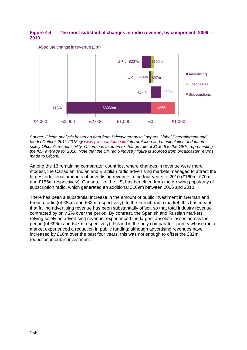## <span id="page-5-0"></span>**Figure 4.4 The most substantial changes in radio revenue, by component: 2006 – 2010**



Absolute change in revenue (£m)

*Source: Ofcom analysis based on data from PricewaterhouseCoopers Global Entertainment and Media Outlook 2011-2015 @ [www.pwc.com/outlook.](http://www.pwc.com/outlook) Interpretation and manipulation of data are solely Ofcom's responsibility. Ofcom has used an exchange rate of \$1.546 to the GBP, representing the IMF average for 2010. Note that the UK radio industry figure is sourced from broadcaster returns made to Ofcom.*

Among the 13 remaining comparator countries, where changes in revenue were more modest, the Canadian, Indian and Brazilian radio advertising markets managed to attract the largest additional amounts of advertising revenue in the four years to 2010 (£160m, £70m and £155m respectively). Canada, like the US, has benefited from the growing popularity of subscription radio, which generated an additional £109m between 2006 and 2010.

There has been a substantial increase in the amount of public investment in German and French radio (of £84m and £62m respectively). In the French radio market, this has meant that falling advertising revenue has been substantially offset, so that total industry revenue contracted by only 2% over the period. By contrast, the Spanish and Russian markets, relying solely on advertising revenue, experienced the largest absolute losses across the period (of £96m and £47m respectively). Poland is the only comparator country whose radio market experienced a reduction in public funding; although advertising revenues have increased by £10m over the past four years, this was not enough to offset the £32m reduction in public investment.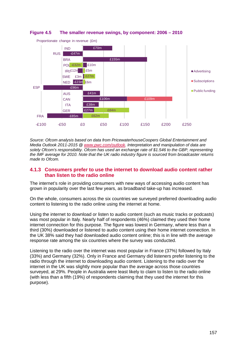

#### <span id="page-6-1"></span>**Figure 4.5 The smaller revenue swings, by component: 2006 – 2010**

*Source: Ofcom analysis based on data from PricewaterhouseCoopers Global Entertainment and Media Outlook 2011-2015 @ [www.pwc.com/outlook.](http://www.pwc.com/outlook) Interpretation and manipulation of data are solely Ofcom's responsibility. Ofcom has used an exchange rate of \$1.546 to the GBP, representing the IMF average for 2010. Note that the UK radio industry figure is sourced from broadcaster returns made to Ofcom.*

## <span id="page-6-0"></span>**4.1.3 Consumers prefer to use the internet to download audio content rather than listen to the radio online**

The internet's role in providing consumers with new ways of accessing audio content has grown in popularity over the last few years, as broadband take-up has increased.

On the whole, consumers across the six countries we surveyed preferred downloading audio content to listening to the radio online using the internet at home.

Using the internet to download or listen to audio content (such as music tracks or podcasts) was most popular in Italy. Nearly half of respondents (46%) claimed they used their home internet connection for this purpose. The figure was lowest in Germany, where less than a third (30%) downloaded or listened to audio content using their home internet connection. In the UK 38% said they had downloaded audio content online; this is in line with the average response rate among the six countries where the survey was conducted.

Listening to the radio over the internet was most popular in France (37%) followed by Italy (33%) and Germany (32%). Only in France and Germany did listeners prefer listening to the radio through the internet to downloading audio content. Listening to the radio over the internet in the UK was slightly more popular than the average across those countries surveyed, at 29%. People in Australia were least likely to claim to listen to the radio online (with less than a fifth (19%) of respondents claiming that they used the internet for this purpose).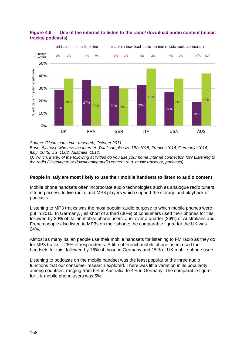

## **Figure 4.6 Use of the internet to listen to the radio/ download audio content (music tracks/ podcasts)**

*Source: Ofcom consumer research, October 2011.*

*Base: All those who use the internet. Total sample size UK=1015, France=1014, Germany=1014, Italy=1045, US=1002, Australia=1012.*

*Q: Which, if any, of the following activities do you use your home internet connection for? Listening to the radio / listening to or downloading audio content (e.g. music tracks or, podcasts).*

## **People in Italy are most likely to use their mobile handsets to listen to audio content**

Mobile phone handsets often incorporate audio technologies such as analogue radio tuners, offering access to live radio, and MP3 players which support the storage and playback of podcasts.

Listening to MP3 tracks was the most popular audio purpose to which mobile phones were put in 2010. In Germany, just short of a third (30%) of consumers used their phones for this, followed by 29% of Italian mobile phone users. Just over a quarter (26%) of Australians and French people also listen to MP3s on their phone; the comparable figure for the UK was 24%.

Almost as many Italian people use their mobile handsets for listening to FM radio as they do for MP3 tracks – 28% of respondents. A fifth of French mobile phone users used their handsets for this, followed by 16% of those in Germany and 15% of UK mobile phone users.

Listening to podcasts on the mobile handset was the least popular of the three audio functions that our consumer research explored. There was little variation in its popularity among countries, ranging from 6% in Australia, to 4% in Germany. The comparable figure for UK mobile phone users was 5%.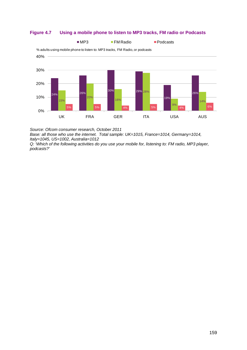

## **Figure 4.7 Using a mobile phone to listen to MP3 tracks, FM radio or Podcasts**

*Source: Ofcom consumer research, October 2011* 

*Base: all those who use the internet. Total sample: UK=1015, France=1014, Germany=1014, Italy=1045, US=1002, Australia=1012*

*Q: 'Which of the following activities do you use your mobile for, listening to: FM radio, MP3 player, podcasts?'*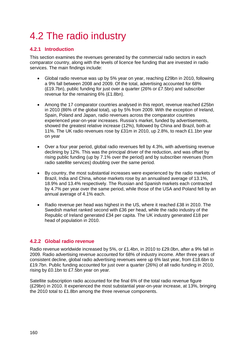# <span id="page-9-0"></span>4.2 The radio industry

## <span id="page-9-1"></span>**4.2.1 Introduction**

This section examines the revenues generated by the commercial radio sectors in each comparator country, along with the levels of licence fee funding that are invested in radio services. The main findings include:

- Global radio revenue was up by 5% year on year, reaching £29bn in 2010, following a 9% fall between 2008 and 2009. Of the total, advertising accounted for 68% (£19.7bn), public funding for just over a quarter (26% or £7.5bn) and subscriber revenue for the remaining 6% (£1.8bn).
- Among the 17 comparator countries analysed in this report, revenue reached £25bn in 2010 (86% of the global total), up by 5% from 2009. With the exception of Ireland, Spain, Poland and Japan, radio revenues across the comparator countries experienced year-on-year increases. Russia's market, funded by advertisements, showed the greatest relative increase (12%), followed by China and Brazil, both at 11%. The UK radio revenues rose by £31m in 2010, up 2.8%, to reach £1.1bn year on year
- Over a four year period, global radio revenues fell by 4.3%, with advertising revenue declining by 12%. This was the principal driver of the reduction, and was offset by rising public funding (up by 7.1% over the period) and by subscriber revenues (from radio satellite services) doubling over the same period.
- By country, the most substantial increases were experienced by the radio markets of Brazil, India and China, whose markets rose by an annualised average of 13.1%, 18.9% and 13.4% respectively. The Russian and Spanish markets each contracted by 4.7% per year over the same period, while those of the USA and Poland fell by an annual average of 4.1% each.
- Radio revenue per head was highest in the US, where it reached £38 in 2010. The Swedish market ranked second with £36 per head, while the radio industry of the Republic of Ireland generated £34 per capita. The UK industry generated £18 per head of population in 2010.

## <span id="page-9-2"></span>**4.2.2 Global radio revenue**

Radio revenue worldwide increased by 5%, or £1.4bn, in 2010 to £29.0bn, after a 9% fall in 2009. Radio advertising revenue accounted for 68% of industry income. After three years of consistent decline, global radio advertising revenues were up 6% last year, from £18.6bn to £19.7bn. Public funding accounted for just over a quarter (26%) of all radio funding in 2010, rising by £0.1bn to £7.5bn year on year.

Satellite subscription radio accounted for the final 6% of the total radio revenue figure (£29bn) in 2010. It experienced the most substantial year-on-year increase, at 13%, bringing the 2010 total to £1.8bn among the three revenue components.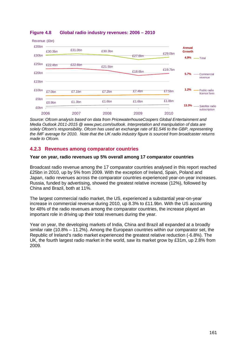

## **Figure 4.8 Global radio industry revenues: 2006 – 2010**

*Source: Ofcom analysis based on data from PricewaterhouseCoopers Global Entertainment and Media Outlook 2011-2015 @ www.pwc.com/outlook. Interpretation and manipulation of data are solely Ofcom's responsibility. Ofcom has used an exchange rate of \$1.546 to the GBP, representing the IMF average for 2010. Note that the UK radio industry figure is sourced from broadcaster returns made to Ofcom.*

## <span id="page-10-0"></span>**4.2.3 Revenues among comparator countries**

## **Year on year, radio revenues up 5% overall among 17 comparator countries**

Broadcast radio revenue among the 17 comparator countries analysed in this report reached £25bn in 2010, up by 5% from 2009. With the exception of Ireland, Spain, Poland and Japan, radio revenues across the comparator countries experienced year-on-year increases. Russia, funded by advertising, showed the greatest relative increase (12%), followed by China and Brazil, both at 11%.

The largest commercial radio market, the US, experienced a substantial year-on-year increase in commercial revenue during 2010, up 8.3% to £11.9bn. With the US accounting for 48% of the radio revenues among the comparator countries, the increase played an important role in driving up their total revenues during the year.

Year on year, the developing markets of India, China and Brazil all expanded at a broadly similar rate (10.8% – 11.2%). Among the European countries within our comparator set, the Republic of Ireland's radio market experienced the greatest relative reduction (-6.8%). The UK, the fourth largest radio market in the world, saw its market grow by £31m, up 2.8% from 2009.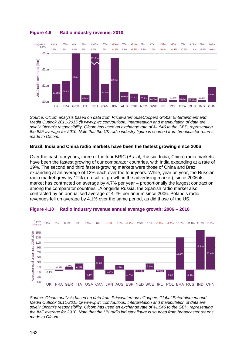

## **Figure 4.9 Radio industry revenue: 2010**

*Source: Ofcom analysis based on data from PricewaterhouseCoopers Global Entertainment and Media Outlook 2011-2015 @ www.pwc.com/outlook. Interpretation and manipulation of data are solely Ofcom's responsibility. Ofcom has used an exchange rate of \$1.546 to the GBP, representing the IMF average for 2010. Note that the UK radio industry figure is sourced from broadcaster returns made to Ofcom.*

#### **Brazil, India and China radio markets have been the fastest growing since 2006**

Over the past four years, three of the four BRIC (Brazil, Russia, India, China) radio markets have been the fastest growing of our comparator countries, with India expanding at a rate of 19%. The second and third fastest-growing markets were those of China and Brazil, expanding at an average of 13% each over the four years. While, year on year, the Russian radio market grew by 12% (a result of growth in the advertising market), since 2006 its market has contracted on average by 4.7% per year – proportionally the largest contraction among the comparator countries. .Alongside Russia, the Spanish radio market also contracted by an annualised average of 4.7% per annum since 2006. Poland's radio revenues fell on average by 4.1% over the same period, as did those of the US.



#### **Figure 4.10 Radio industry revenue annual average growth: 2006 – 2010**

*Source: Ofcom analysis based on data from PricewaterhouseCoopers Global Entertainment and Media Outlook 2011-2015 @ www.pwc.com/outlook. Interpretation and manipulation of data are solely Ofcom's responsibility. Ofcom has used an exchange rate of \$1.546 to the GBP, representing the IMF average for 2010. Note that the UK radio industry figure is sourced from broadcaster returns made to Ofcom.*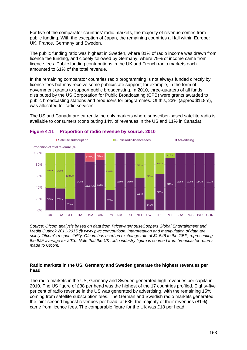For five of the comparator countries' radio markets, the majority of revenue comes from public funding. With the exception of Japan, the remaining countries all fall within Europe: UK, France, Germany and Sweden.

The public funding ratio was highest in Sweden, where 81% of radio income was drawn from licence fee funding, and closely followed by Germany, where 79% of income came from licence fees. Public funding contributions in the UK and French radio markets each amounted to 61% of the total revenue.

In the remaining comparator countries radio programming is not always funded directly by licence fees but may receive some public/state support; for example, in the form of government grants to support public broadcasting. In 2010, three-quarters of all funds distributed by the US Corporation for Public Broadcasting (CPB) were grants awarded to public broadcasting stations and producers for programmes. Of this, 23% (approx \$118m), was allocated for radio services.

The US and Canada are currently the only markets where subscriber-based satellite radio is available to consumers (contributing 14% of revenues in the US and 11% in Canada).



#### **Figure 4.11 Proportion of radio revenue by source: 2010**

*Source: Ofcom analysis based on data from PricewaterhouseCoopers Global Entertainment and Media Outlook 2011-2015 @ www.pwc.com/outlook. Interpretation and manipulation of data are solely Ofcom's responsibility. Ofcom has used an exchange rate of \$1.546 to the GBP, representing the IMF average for 2010. Note that the UK radio industry figure is sourced from broadcaster returns made to Ofcom.*

#### **Radio markets in the US, Germany and Sweden generate the highest revenues per head**

The radio markets in the US, Germany and Sweden generated high revenues per capita in 2010. The US figure of £38 per head was the highest of the 17 countries profiled. Eighty-five per cent of radio revenue in the US was generated by advertising, with the remaining 15% coming from satellite subscription fees. The German and Swedish radio markets generated the joint-second highest revenues per head, at £36; the majority of their revenues (81%) came from licence fees. The comparable figure for the UK was £18 per head.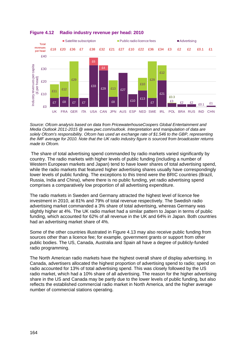

### **Figure 4.12 Radio industry revenue per head: 2010**

*Source: Ofcom analysis based on data from PricewaterhouseCoopers Global Entertainment and Media Outlook 2011-2015 @ www.pwc.com/outlook. Interpretation and manipulation of data are solely Ofcom's responsibility. Ofcom has used an exchange rate of \$1.546 to the GBP, representing the IMF average for 2010. Note that the UK radio industry figure is sourced from broadcaster returns made to Ofcom.*

The share of total advertising spend commanded by radio markets varied significantly by country. The radio markets with higher levels of public funding (including a number of Western European markets and Japan) tend to have lower shares of total advertising spend, while the radio markets that featured higher advertising shares usually have correspondingly lower levels of public funding. The exceptions to this trend were the BRIC countries (Brazil, Russia, India and China), where there is no public funding, yet radio advertising spend comprises a comparatively low proportion of all advertising expenditure.

The radio markets in Sweden and Germany attracted the highest level of licence fee investment in 2010, at 81% and 79% of total revenue respectively. The Swedish radio advertising market commanded a 3% share of total advertising, whereas Germany was slightly higher at 4%. The UK radio market had a similar pattern to Japan in terms of public funding, which accounted for 62% of all revenue in the UK and 64% in Japan. Both countries had an advertising market share of 4%.

Some of the other countries illustrated in [Figure 4.13](#page-14-0) may also receive public funding from sources other than a licence fee; for example, government grants or support from other public bodies. The US, Canada, Australia and Spain all have a degree of publicly-funded radio programming.

The North American radio markets have the highest overall share of display advertising. In Canada, advertisers allocated the highest proportion of advertising spend to radio; spend on radio accounted for 13% of total advertising spend. This was closely followed by the US radio market, which had a 10% share of all advertising. The reason for the higher advertising share in the US and Canada may be partly due to the lower levels of public funding, but also reflects the established commercial radio market in North America, and the higher average number of commercial stations operating.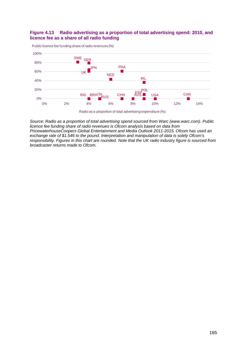#### <span id="page-14-0"></span>**Figure 4.13 Radio advertising as a proportion of total advertising spend: 2010, and licence fee as a share of all radio funding**





*Source: Radio as a proportion of total advertising spend sourced from Warc (www.warc.com). Public licence fee funding share of radio revenues is Ofcom analysis based on data from PricewaterhouseCoopers Global Entertainment and Media Outlook 2011-2015. Ofcom has used an exchange rate of \$1.546 to the pound. Interpretation and manipulation of data is solely Ofcom's responsibility. Figures in this chart are rounded. Note that the UK radio industry figure is sourced from broadcaster returns made to Ofcom.*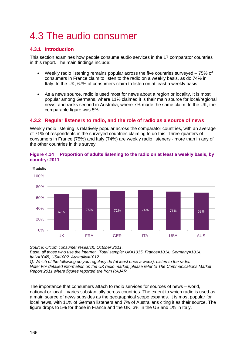# <span id="page-15-0"></span>4.3 The audio consumer

## <span id="page-15-1"></span>**4.3.1 Introduction**

This section examines how people consume audio services in the 17 comparator countries in this report. The main findings include:

- Weekly radio listening remains popular across the five countries surveyed 75% of consumers in France claim to listen to the radio on a weekly basis, as do 74% in Italy. In the UK, 67% of consumers claim to listen on at least a weekly basis.
- As a news source, radio is used most for news about a region or locality. It is most popular among Germans, where 11% claimed it is their main source for local/regional news, and ranks second in Australia, where 7% made the same claim. In the UK, the comparable figure was 5%.

## <span id="page-15-2"></span>**4.3.2 Regular listeners to radio, and the role of radio as a source of news**

Weekly radio listening is relatively popular across the comparator countries, with an average of 71% of respondents in the surveyed countries claiming to do this. Three-quarters of consumers in France (75%) and Italy (74%) are weekly radio listeners - more than in any of the other countries in this survey.



#### **Figure 4.14 Proportion of adults listening to the radio on at least a weekly basis, by country: 2011**

*Source: Ofcom consumer research, October 2011.*

*Base: all those who use the internet. Total sample: UK=1015, France=1014, Germany=1014, Italy=1045, US=1002, Australia=1012*

*Q: Which of the following do you regularly do (at least once a week): Listen to the radio. Note: For detailed information on the UK radio market, please refer to [The Communications Market](http://stakeholders.ofcom.org.uk/market-data-research/market-data/communications-market-reports/cmr11/uk/)  [Report 2011](http://stakeholders.ofcom.org.uk/market-data-research/market-data/communications-market-reports/cmr11/uk/) where figures reported are from RAJAR* 

The importance that consumers attach to radio services for sources of news – world, national or local – varies substantially across countries. The extent to which radio is used as a main source of news subsides as the geographical scope expands. It is most popular for local news, with 11% of German listeners and 7% of Australians citing it as their source. The figure drops to 5% for those in France and the UK, 3% in the US and 1% in Italy.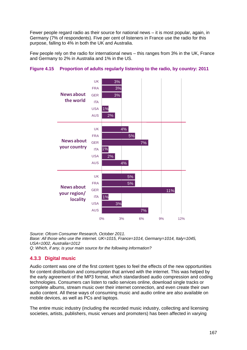Fewer people regard radio as their source for national news – it is most popular, again, in Germany (7% of respondents). Five per cent of listeners in France use the radio for this purpose, falling to 4% in both the UK and Australia.

Few people rely on the radio for international news – this ranges from 3% in the UK, France and Germany to 2% in Australia and 1% in the US.



## **Figure 4.15 Proportion of adults regularly listening to the radio, by country: 2011**

*Source: Ofcom Consumer Research, October 2011. Base: All those who use the internet. UK=1015, France=1014, Germany=1014, Italy=1045, USA=1002, Australia=1012 Q: Which, if any, is your main source for the following information?* 

## <span id="page-16-0"></span>**4.3.3 Digital music**

Audio content was one of the first content types to feel the effects of the new opportunities for content distribution and consumption that arrived with the internet. This was helped by the early agreement of the MP3 format, which standardised audio compression and coding technologies. Consumers can listen to radio services online, download single tracks or complete albums, stream music over their internet connection, and even create their own audio content. All these ways of consuming music and audio online are also available on mobile devices, as well as PCs and laptops.

The entire music industry (including the recorded music industry, collecting and licensing societies, artists, publishers, music venues and promoters) has been affected in varying